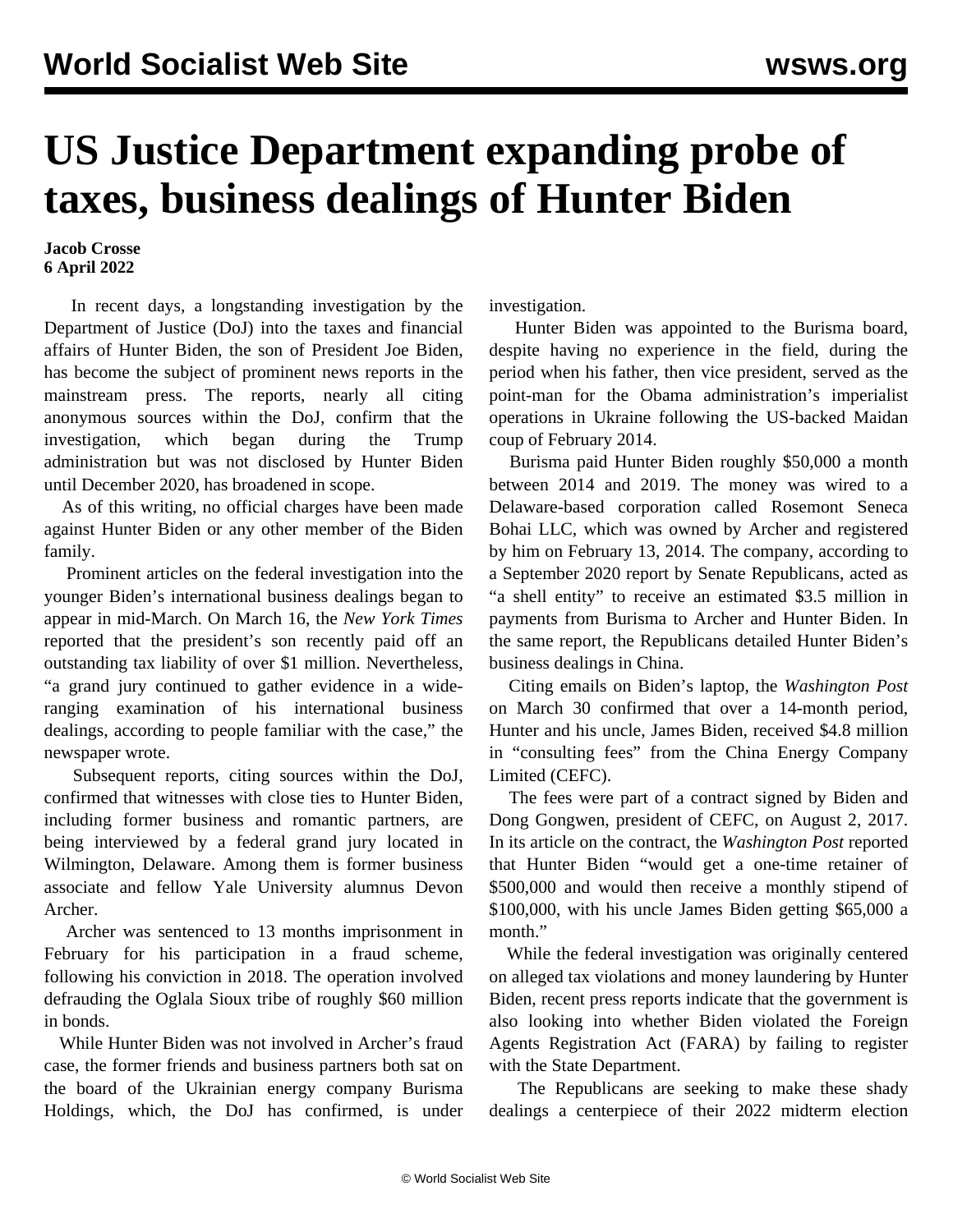## **US Justice Department expanding probe of taxes, business dealings of Hunter Biden**

## **Jacob Crosse 6 April 2022**

 In recent days, a longstanding investigation by the Department of Justice (DoJ) into the taxes and financial affairs of Hunter Biden, the son of President Joe Biden, has become the subject of prominent news reports in the mainstream press. The reports, nearly all citing anonymous sources within the DoJ, confirm that the investigation, which began during the Trump administration but was not disclosed by Hunter Biden until December 2020, has broadened in scope.

 As of this writing, no official charges have been made against Hunter Biden or any other member of the Biden family.

 Prominent articles on the federal investigation into the younger Biden's international business dealings began to appear in mid-March. On March 16, the *New York Times* reported that the president's son recently paid off an outstanding tax liability of over \$1 million. Nevertheless, "a grand jury continued to gather evidence in a wideranging examination of his international business dealings, according to people familiar with the case," the newspaper wrote.

 Subsequent reports, citing sources within the DoJ, confirmed that witnesses with close ties to Hunter Biden, including former business and romantic partners, are being interviewed by a federal grand jury located in Wilmington, Delaware. Among them is former business associate and fellow Yale University alumnus Devon Archer.

 Archer was sentenced to 13 months imprisonment in February for his participation in a fraud scheme, following his conviction in 2018. The operation involved defrauding the Oglala Sioux tribe of roughly \$60 million in bonds.

 While Hunter Biden was not involved in Archer's fraud case, the former friends and business partners both sat on the board of the Ukrainian energy company Burisma Holdings, which, the DoJ has confirmed, is under investigation.

 Hunter Biden was appointed to the Burisma board, despite having no experience in the field, during the period when his father, then vice president, served as the point-man for the Obama administration's imperialist operations in Ukraine following the US-backed Maidan coup of February 2014.

 Burisma paid Hunter Biden roughly \$50,000 a month between 2014 and 2019. The money was wired to a Delaware-based corporation called Rosemont Seneca Bohai LLC, which was owned by Archer and registered by him on February 13, 2014. The company, according to a September 2020 report by Senate Republicans, acted as "a shell entity" to receive an estimated \$3.5 million in payments from Burisma to Archer and Hunter Biden. In the same report, the Republicans detailed Hunter Biden's business dealings in China.

 Citing emails on Biden's laptop, the *Washington Post* on March 30 confirmed that over a 14-month period, Hunter and his uncle, James Biden, received \$4.8 million in "consulting fees" from the China Energy Company Limited (CEFC).

 The fees were part of a contract signed by Biden and Dong Gongwen, president of CEFC, on August 2, 2017. In its article on the contract, the *Washington Post* reported that Hunter Biden "would get a one-time retainer of \$500,000 and would then receive a monthly stipend of \$100,000, with his uncle James Biden getting \$65,000 a month."

 While the federal investigation was originally centered on alleged tax violations and money laundering by Hunter Biden, recent press reports indicate that the government is also looking into whether Biden violated the Foreign Agents Registration Act (FARA) by failing to register with the State Department.

 The Republicans are seeking to make these shady dealings a centerpiece of their 2022 midterm election